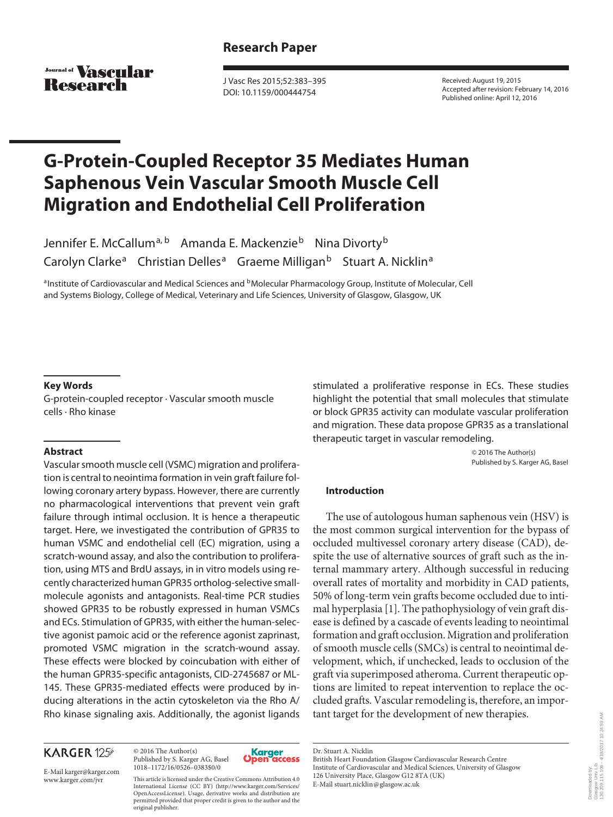Journal of **VASCHIAP** Research

 J Vasc Res 2015;52:383–395 DOI: 10.1159/000444754

 Received: August 19, 2015 Accepted after revision: February 14, 2016 Published online: April 12, 2016

# **G-Protein-Coupled Receptor 35 Mediates Human Saphenous Vein Vascular Smooth Muscle Cell Migration and Endothelial Cell Proliferation**

Jennifer E. McCallum<sup>a, b</sup> Amanda E. Mackenzie<sup>b</sup> Nina Divorty<sup>b</sup> Carolyn Clarke<sup>a</sup> Christian Delles<sup>a</sup> Graeme Milligan<sup>b</sup> Stuart A. Nicklin<sup>a</sup>

a Institute of Cardiovascular and Medical Sciences and <sup>b</sup> Molecular Pharmacology Group, Institute of Molecular, Cell and Systems Biology, College of Medical, Veterinary and Life Sciences, University of Glasgow, Glasgow, UK

#### **Key Words**

 G-protein-coupled receptor · Vascular smooth muscle cells · Rho kinase

#### **Abstract**

 Vascular smooth muscle cell (VSMC) migration and proliferation is central to neointima formation in vein graft failure following coronary artery bypass. However, there are currently no pharmacological interventions that prevent vein graft failure through intimal occlusion. It is hence a therapeutic target. Here, we investigated the contribution of GPR35 to human VSMC and endothelial cell (EC) migration, using a scratch-wound assay, and also the contribution to proliferation, using MTS and BrdU assays, in in vitro models using recently characterized human GPR35 ortholog-selective smallmolecule agonists and antagonists. Real-time PCR studies showed GPR35 to be robustly expressed in human VSMCs and ECs. Stimulation of GPR35, with either the human-selective agonist pamoic acid or the reference agonist zaprinast, promoted VSMC migration in the scratch-wound assay. These effects were blocked by coincubation with either of the human GPR35-specific antagonists, CID-2745687 or ML-145. These GPR35-mediated effects were produced by inducing alterations in the actin cytoskeleton via the Rho A/ Rho kinase signaling axis. Additionally, the agonist ligands

## **KARGER 125**

E-Mail karger@karger.com

 © 2016 The Author(s) Published by S. Karger AG, Basel 1018–1172/16/0526–0383\$0/0



 www.karger.com/jvr This article is licensed under the Creative Commons Attribution 4.0 International License (CC BY) (http://www.karger.com/Services/ OpenAccessLicense). Usage, derivative works and distribution are permitted provided that proper credit is given to the author and the original publisher.

stimulated a proliferative response in ECs. These studies highlight the potential that small molecules that stimulate or block GPR35 activity can modulate vascular proliferation and migration. These data propose GPR35 as a translational therapeutic target in vascular remodeling.

> © 2016 The Author(s) Published by S. Karger AG, Basel

## **Introduction**

 The use of autologous human saphenous vein (HSV) is the most common surgical intervention for the bypass of occluded multivessel coronary artery disease (CAD), despite the use of alternative sources of graft such as the internal mammary artery. Although successful in reducing overall rates of mortality and morbidity in CAD patients, 50% of long-term vein grafts become occluded due to intimal hyperplasia [1] . The pathophysiology of vein graft disease is defined by a cascade of events leading to neointimal formation and graft occlusion. Migration and proliferation of smooth muscle cells (SMCs) is central to neointimal development, which, if unchecked, leads to occlusion of the graft via superimposed atheroma. Current therapeutic options are limited to repeat intervention to replace the occluded grafts. Vascular remodeling is, therefore, an important target for the development of new therapies.

 British Heart Foundation Glasgow Cardiovascular Research Centre Institute of Cardiovascular and Medical Sciences, University of Glasgow 126 University Place, Glasgow G12 8TA (UK) E-Mail stuart.nicklin @ glasgow.ac.uk

Dr. Stuart A. Nicklin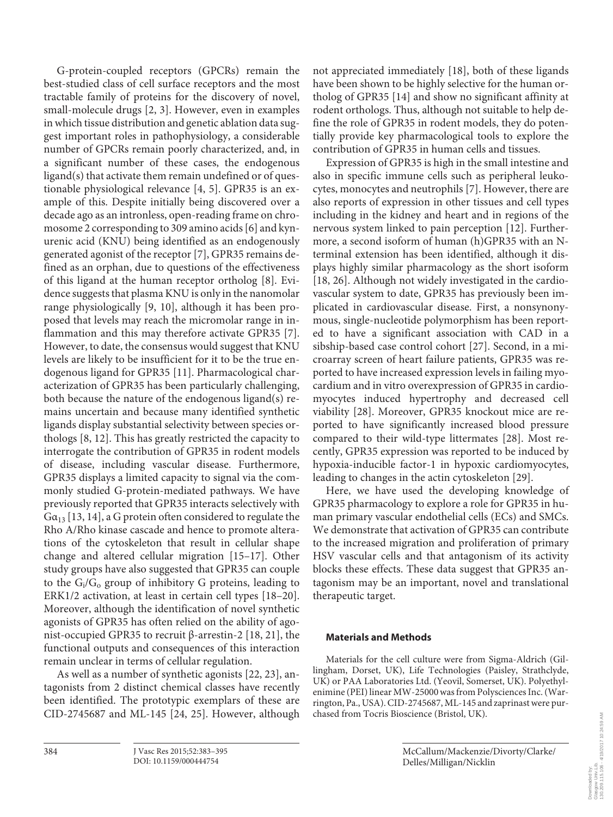G-protein-coupled receptors (GPCRs) remain the best-studied class of cell surface receptors and the most tractable family of proteins for the discovery of novel, small-molecule drugs [2, 3]. However, even in examples in which tissue distribution and genetic ablation data suggest important roles in pathophysiology, a considerable number of GPCRs remain poorly characterized, and, in a significant number of these cases, the endogenous ligand(s) that activate them remain undefined or of questionable physiological relevance  $[4, 5]$ . GPR35 is an example of this. Despite initially being discovered over a decade ago as an intronless, open-reading frame on chromosome 2 corresponding to 309 amino acids [6] and kynurenic acid (KNU) being identified as an endogenously generated agonist of the receptor [7] , GPR35 remains defined as an orphan, due to questions of the effectiveness of this ligand at the human receptor ortholog [8]. Evidence suggests that plasma KNU is only in the nanomolar range physiologically [9, 10], although it has been proposed that levels may reach the micromolar range in inflammation and this may therefore activate GPR35 [7]. However, to date, the consensus would suggest that KNU levels are likely to be insufficient for it to be the true endogenous ligand for GPR35 [11]. Pharmacological characterization of GPR35 has been particularly challenging, both because the nature of the endogenous ligand(s) remains uncertain and because many identified synthetic ligands display substantial selectivity between species orthologs [8, 12] . This has greatly restricted the capacity to interrogate the contribution of GPR35 in rodent models of disease, including vascular disease. Furthermore, GPR35 displays a limited capacity to signal via the commonly studied G-protein-mediated pathways. We have previously reported that GPR35 interacts selectively with  $Ga_{13}$  [13, 14], a G protein often considered to regulate the Rho A/Rho kinase cascade and hence to promote alterations of the cytoskeleton that result in cellular shape change and altered cellular migration [15–17]. Other study groups have also suggested that GPR35 can couple to the  $G_i/G_o$  group of inhibitory G proteins, leading to ERK1/2 activation, at least in certain cell types [18–20] . Moreover, although the identification of novel synthetic agonists of GPR35 has often relied on the ability of agonist-occupied GPR35 to recruit β-arrestin-2 [18, 21], the functional outputs and consequences of this interaction remain unclear in terms of cellular regulation.

As well as a number of synthetic agonists [22, 23], antagonists from 2 distinct chemical classes have recently been identified. The prototypic exemplars of these are CID-2745687 and ML-145 [24, 25] . However, although

not appreciated immediately [18], both of these ligands have been shown to be highly selective for the human ortholog of GPR35 [14] and show no significant affinity at rodent orthologs. Thus, although not suitable to help define the role of GPR35 in rodent models, they do potentially provide key pharmacological tools to explore the contribution of GPR35 in human cells and tissues.

 Expression of GPR35 is high in the small intestine and also in specific immune cells such as peripheral leukocytes, monocytes and neutrophils [7] . However, there are also reports of expression in other tissues and cell types including in the kidney and heart and in regions of the nervous system linked to pain perception [12] . Furthermore, a second isoform of human (h)GPR35 with an Nterminal extension has been identified, although it displays highly similar pharmacology as the short isoform [18, 26]. Although not widely investigated in the cardiovascular system to date, GPR35 has previously been implicated in cardiovascular disease. First, a nonsynonymous, single-nucleotide polymorphism has been reported to have a significant association with CAD in a sibship-based case control cohort [27]. Second, in a microarray screen of heart failure patients, GPR35 was reported to have increased expression levels in failing myocardium and in vitro overexpression of GPR35 in cardiomyocytes induced hypertrophy and decreased cell viability [28]. Moreover, GPR35 knockout mice are reported to have significantly increased blood pressure compared to their wild-type littermates [28]. Most recently, GPR35 expression was reported to be induced by hypoxia-inducible factor-1 in hypoxic cardiomyocytes, leading to changes in the actin cytoskeleton [29] .

 Here, we have used the developing knowledge of GPR35 pharmacology to explore a role for GPR35 in human primary vascular endothelial cells (ECs) and SMCs. We demonstrate that activation of GPR35 can contribute to the increased migration and proliferation of primary HSV vascular cells and that antagonism of its activity blocks these effects. These data suggest that GPR35 antagonism may be an important, novel and translational therapeutic target.

## **Materials and Methods**

 Materials for the cell culture were from Sigma-Aldrich (Gillingham, Dorset, UK), Life Technologies (Paisley, Strathclyde, UK) or PAA Laboratories Ltd. (Yeovil, Somerset, UK). Polyethylenimine (PEI) linear MW-25000 was from Polysciences Inc. (Warrington, Pa., USA). CID-2745687, ML-145 and zaprinast were purchased from Tocris Bioscience (Bristol, UK).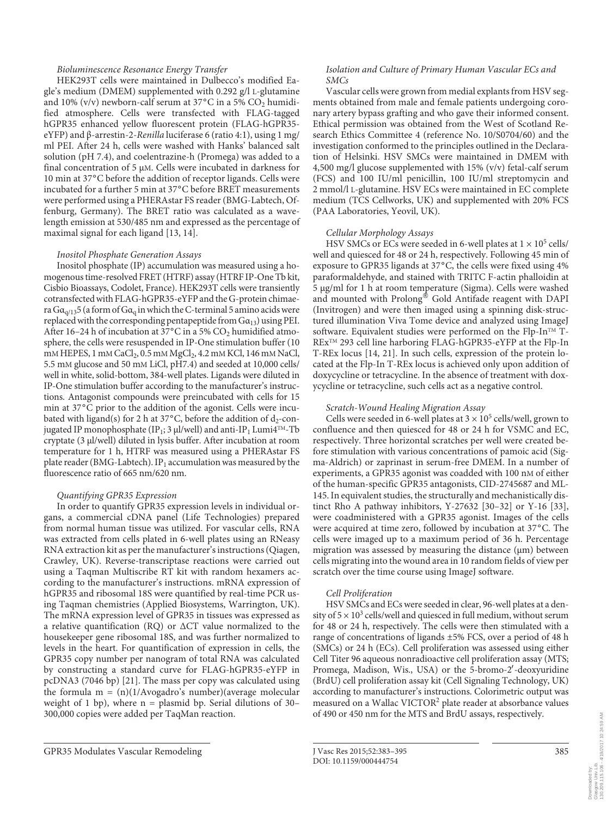#### *Bioluminescence Resonance Energy Transfer*

 HEK293T cells were maintained in Dulbecco's modified Eagle's medium (DMEM) supplemented with 0.292 g/l L-glutamine and 10% (v/v) newborn-calf serum at 37°C in a 5%  $CO<sub>2</sub>$  humidified atmosphere. Cells were transfected with FLAG-tagged hGPR35 enhanced yellow fluorescent protein (FLAG-hGPR35 eYFP) and β-arrestin-2- *Renilla* luciferase 6 (ratio 4:1), using 1 mg/ ml PEI. After 24 h, cells were washed with Hanks' balanced salt solution (pH 7.4), and coelentrazine-h (Promega) was added to a final concentration of 5  $\mu$ M. Cells were incubated in darkness for 10 min at 37°C before the addition of receptor ligands. Cells were incubated for a further 5 min at 37°C before BRET measurements were performed using a PHERAstar FS reader (BMG-Labtech, Offenburg, Germany). The BRET ratio was calculated as a wavelength emission at 530/485 nm and expressed as the percentage of maximal signal for each ligand [13, 14].

#### *Inositol Phosphate Generation Assays*

 Inositol phosphate (IP) accumulation was measured using a homogenous time-resolved FRET (HTRF) assay (HTRF IP-One Tb kit, Cisbio Bioassays, Codolet, France). HEK293T cells were transiently cotransfected with FLAG-hGPR35-eYFP and the G-protein chimaera  $Ga_{q/13}$ 5 (a form of  $Ga_q$  in which the C-terminal 5 amino acids were replaced with the corresponding pentapeptide from  $Ga_{13}$ ) using PEI. After 16–24 h of incubation at 37°C in a 5%  $CO<sub>2</sub>$  humidified atmosphere, the cells were resuspended in IP-One stimulation buffer (10 mM HEPES, 1 mM CaCl<sub>2</sub>, 0.5 mM MgCl<sub>2</sub>, 4.2 mM KCl, 146 mM NaCl, 5.5 mM glucose and 50 mM LiCl, pH7.4) and seeded at 10,000 cells/ well in white, solid-bottom, 384-well plates. Ligands were diluted in IP-One stimulation buffer according to the manufacturer's instructions. Antagonist compounds were preincubated with cells for 15 min at 37<sup>°</sup>C prior to the addition of the agonist. Cells were incubated with ligand(s) for 2 h at 37 $^{\circ}$ C, before the addition of d<sub>2</sub>-conjugated IP monophosphate (IP<sub>1</sub>; 3 μl/well) and anti-IP<sub>1</sub> Lumi4<sup>TM</sup>-Tb cryptate (3 μl/well) diluted in lysis buffer. After incubation at room temperature for 1 h, HTRF was measured using a PHERAstar FS plate reader (BMG-Labtech). IP<sub>1</sub> accumulation was measured by the fluorescence ratio of 665 nm/620 nm.

#### *Quantifying GPR35 Expression*

 In order to quantify GPR35 expression levels in individual organs, a commercial cDNA panel (Life Technologies) prepared from normal human tissue was utilized. For vascular cells, RNA was extracted from cells plated in 6-well plates using an RNeasy RNA extraction kit as per the manufacturer's instructions (Qiagen, Crawley, UK). Reverse-transcriptase reactions were carried out using a Taqman Multiscribe RT kit with random hexamers according to the manufacturer's instructions. mRNA expression of hGPR35 and ribosomal 18S were quantified by real-time PCR using Taqman chemistries (Applied Biosystems, Warrington, UK). The mRNA expression level of GPR35 in tissues was expressed as a relative quantification (RQ) or ΔCT value normalized to the housekeeper gene ribosomal 18S, and was further normalized to levels in the heart. For quantification of expression in cells, the GPR35 copy number per nanogram of total RNA was calculated by constructing a standard curve for FLAG-hGPR35-eYFP in pcDNA3 (7046 bp) [21]. The mass per copy was calculated using the formula m = (n)(1/Avogadro's number)(average molecular weight of 1 bp), where n = plasmid bp. Serial dilutions of 30– 300,000 copies were added per TaqMan reaction.

#### *Isolation and Culture of Primary Human Vascular ECs and SMCs*

 Vascular cells were grown from medial explants from HSV segments obtained from male and female patients undergoing coronary artery bypass grafting and who gave their informed consent. Ethical permission was obtained from the West of Scotland Research Ethics Committee 4 (reference No. 10/S0704/60) and the investigation conformed to the principles outlined in the Declaration of Helsinki. HSV SMCs were maintained in DMEM with 4,500 mg/l glucose supplemented with 15% (v/v) fetal-calf serum (FCS) and 100 IU/ml penicillin, 100 IU/ml streptomycin and 2 mmol/l L -glutamine. HSV ECs were maintained in EC complete medium (TCS Cellworks, UK) and supplemented with 20% FCS (PAA Laboratories, Yeovil, UK).

#### *Cellular Morphology Assays*

HSV SMCs or ECs were seeded in 6-well plates at  $1 \times 10^5$  cells/ well and quiesced for 48 or 24 h, respectively. Following 45 min of exposure to GPR35 ligands at 37°C, the cells were fixed using 4% paraformaldehyde, and stained with TRITC F-actin phalloidin at 5 μg/ml for 1 h at room temperature (Sigma). Cells were washed and mounted with Prolong<sup>®</sup> Gold Antifade reagent with DAPI (Invitrogen) and were then imaged using a spinning disk-structured illumination Viva Tome device and analyzed using ImageJ software. Equivalent studies were performed on the Flp-In $TM$  T-REx<sup>™</sup> 293 cell line harboring FLAG-hGPR35-eYFP at the Flp-In T-REx locus [14, 21] . In such cells, expression of the protein located at the Flp-In T-REx locus is achieved only upon addition of doxycycline or tetracycline. In the absence of treatment with doxycycline or tetracycline, such cells act as a negative control.

#### *Scratch-Wound Healing Migration Assay*

Cells were seeded in 6-well plates at  $3 \times 10^5$  cells/well, grown to confluence and then quiesced for 48 or 24 h for VSMC and EC, respectively. Three horizontal scratches per well were created before stimulation with various concentrations of pamoic acid (Sigma-Aldrich) or zaprinast in serum-free DMEM. In a number of experiments, a GPR35 agonist was coadded with 100 nM of either of the human-specific GPR35 antagonists, CID-2745687 and ML-145. In equivalent studies, the structurally and mechanistically distinct Rho A pathway inhibitors, Y-27632 [30–32] or Y-16 [33], were coadministered with a GPR35 agonist. Images of the cells were acquired at time zero, followed by incubation at 37°C. The cells were imaged up to a maximum period of 36 h. Percentage migration was assessed by measuring the distance (μm) between cells migrating into the wound area in 10 random fields of view per scratch over the time course using ImageJ software.

#### *Cell Proliferation*

 HSV SMCs and ECs were seeded in clear, 96-well plates at a density of  $5 \times 10^3$  cells/well and quiesced in full medium, without serum for 48 or 24 h, respectively. The cells were then stimulated with a range of concentrations of ligands ±5% FCS, over a period of 48 h (SMCs) or 24 h (ECs). Cell proliferation was assessed using either Cell Titer 96 aqueous nonradioactive cell proliferation assay (MTS; Promega, Madison, Wis., USA) or the 5-bromo-2′-deoxyuridine (BrdU) cell proliferation assay kit (Cell Signaling Technology, UK) according to manufacturer's instructions. Colorimetric output was measured on a Wallac VICTOR<sup>2</sup> plate reader at absorbance values of 490 or 450 nm for the MTS and BrdU assays, respectively.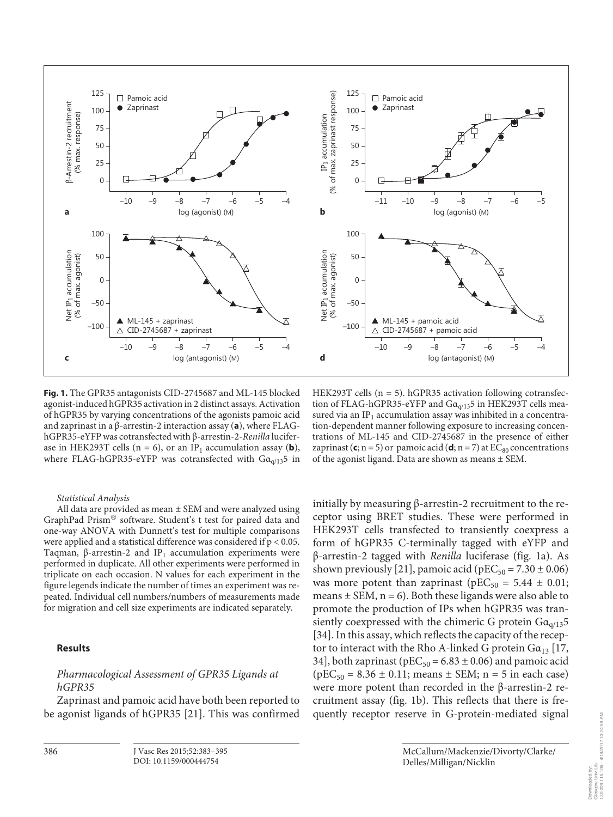

**Fig. 1.** The GPR35 antagonists CID-2745687 and ML-145 blocked agonist-induced hGPR35 activation in 2 distinct assays. Activation of hGPR35 by varying concentrations of the agonists pamoic acid and zaprinast in a β-arrestin-2 interaction assay (a), where FLAGhGPR35-eYFP was cotransfected with β-arrestin-2- *Renilla* luciferase in HEK293T cells ( $n = 6$ ), or an IP<sub>1</sub> accumulation assay (**b**), where FLAG-hGPR35-eYFP was cotransfected with  $Ga_{\alpha/13}$ 5 in

 *Statistical Analysis* 

 All data are provided as mean ± SEM and were analyzed using GraphPad Prism<sup>®</sup> software. Student's t test for paired data and one-way ANOVA with Dunnett's test for multiple comparisons were applied and a statistical difference was considered if p < 0.05. Taqman, β-arrestin-2 and IP<sub>1</sub> accumulation experiments were performed in duplicate. All other experiments were performed in triplicate on each occasion. N values for each experiment in the figure legends indicate the number of times an experiment was repeated. Individual cell numbers/numbers of measurements made for migration and cell size experiments are indicated separately.

## **Results**

386

# *Pharmacological Assessment of GPR35 Ligands at hGPR35*

 Zaprinast and pamoic acid have both been reported to be agonist ligands of hGPR35 [21]. This was confirmed

HEK293T cells (n = 5). hGPR35 activation following cotransfection of FLAG-hGPR35-eYFP and  $Ga_{q/13}$ 5 in HEK293T cells measured via an IP<sub>1</sub> accumulation assay was inhibited in a concentration-dependent manner following exposure to increasing concentrations of ML-145 and CID-2745687 in the presence of either zaprinast  $(c; n = 5)$  or pamoic acid  $(d; n = 7)$  at  $EC_{80}$  concentrations of the agonist ligand. Data are shown as means ± SEM.

initially by measuring  $β$ -arrestin-2 recruitment to the receptor using BRET studies. These were performed in HEK293T cells transfected to transiently coexpress a form of hGPR35 C-terminally tagged with eYFP and β-arrestin-2 tagged with *Renilla* luciferase ( fig. 1 a). As shown previously [21], pamoic acid (pEC $_{50}$  = 7.30  $\pm$  0.06) was more potent than zaprinast ( $pEC_{50} = 5.44 \pm 0.01$ ; means  $\pm$  SEM,  $n = 6$ ). Both these ligands were also able to promote the production of IPs when hGPR35 was transiently coexpressed with the chimeric G protein  $Ga_{\alpha/13}5$ [34]. In this assay, which reflects the capacity of the receptor to interact with the Rho A-linked G protein  $Ga_{13}$  [17, 34], both zaprinast ( $pEC_{50} = 6.83 \pm 0.06$ ) and pamoic acid  $(pEC_{50} = 8.36 \pm 0.11;$  means  $\pm$  SEM; n = 5 in each case) were more potent than recorded in the β-arrestin-2 recruitment assay (fig. 1b). This reflects that there is frequently receptor reserve in G-protein-mediated signal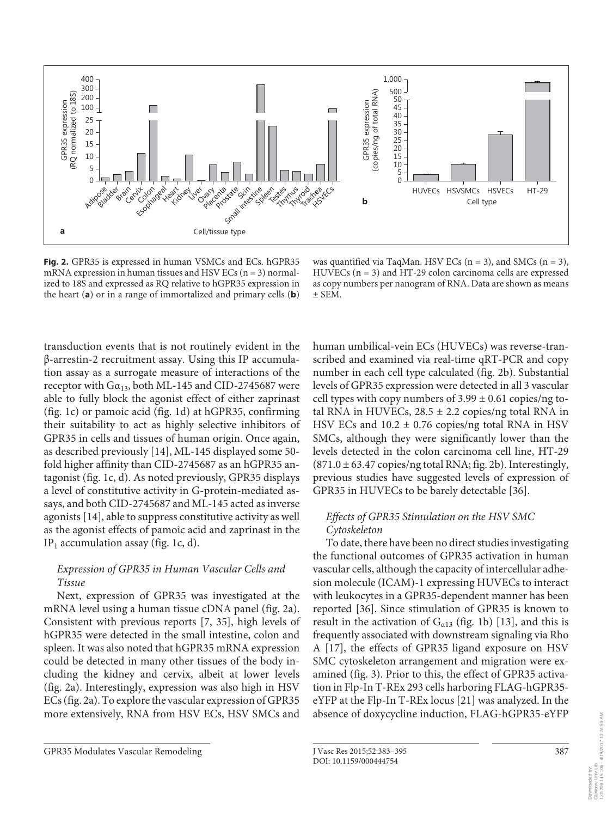

**Fig. 2.** GPR35 is expressed in human VSMCs and ECs. hGPR35 mRNA expression in human tissues and HSV ECs ( $n = 3$ ) normalized to 18S and expressed as RQ relative to hGPR35 expression in the heart  $(a)$  or in a range of immortalized and primary cells  $(b)$ 

was quantified via TaqMan. HSV ECs  $(n = 3)$ , and SMCs  $(n = 3)$ , HUVECs (n = 3) and HT-29 colon carcinoma cells are expressed as copy numbers per nanogram of RNA. Data are shown as means  $±$  SEM.

transduction events that is not routinely evident in the β-arrestin-2 recruitment assay. Using this IP accumulation assay as a surrogate measure of interactions of the receptor with  $Ga_{13}$ , both ML-145 and CID-2745687 were able to fully block the agonist effect of either zaprinast ( $fig. 1c$ ) or pamoic acid ( $fig. 1d$ ) at hGPR35, confirming their suitability to act as highly selective inhibitors of GPR35 in cells and tissues of human origin. Once again, as described previously [14], ML-145 displayed some 50fold higher affinity than CID-2745687 as an hGPR35 antagonist (fig. 1c, d). As noted previously, GPR35 displays a level of constitutive activity in G-protein-mediated assays, and both CID-2745687 and ML-145 acted as inverse agonists [14], able to suppress constitutive activity as well as the agonist effects of pamoic acid and zaprinast in the IP<sub>1</sub> accumulation assay (fig. 1c, d).

# *Expression of GPR35 in Human Vascular Cells and Tissue*

 Next, expression of GPR35 was investigated at the mRNA level using a human tissue cDNA panel (fig. 2a). Consistent with previous reports [7, 35], high levels of hGPR35 were detected in the small intestine, colon and spleen. It was also noted that hGPR35 mRNA expression could be detected in many other tissues of the body including the kidney and cervix, albeit at lower levels (fig. 2a). Interestingly, expression was also high in HSV ECs (fig. 2a). To explore the vascular expression of GPR35 more extensively, RNA from HSV ECs, HSV SMCs and

human umbilical-vein ECs (HUVECs) was reverse-transcribed and examined via real-time qRT-PCR and copy number in each cell type calculated (fig. 2b). Substantial levels of GPR35 expression were detected in all 3 vascular cell types with copy numbers of  $3.99 \pm 0.61$  copies/ng total RNA in HUVECs,  $28.5 \pm 2.2$  copies/ng total RNA in HSV ECs and  $10.2 \pm 0.76$  copies/ng total RNA in HSV SMCs, although they were significantly lower than the levels detected in the colon carcinoma cell line, HT-29  $(871.0 \pm 63.47 \text{ copies/mg total RNA};$  fig. 2b). Interestingly, previous studies have suggested levels of expression of GPR35 in HUVECs to be barely detectable [36] .

## *Effects of GPR35 Stimulation on the HSV SMC Cytoskeleton*

 To date, there have been no direct studies investigating the functional outcomes of GPR35 activation in human vascular cells, although the capacity of intercellular adhesion molecule (ICAM)-1 expressing HUVECs to interact with leukocytes in a GPR35-dependent manner has been reported [36]. Since stimulation of GPR35 is known to result in the activation of  $G<sub>a13</sub>$  (fig. 1b) [13], and this is frequently associated with downstream signaling via Rho A [17], the effects of GPR35 ligand exposure on HSV SMC cytoskeleton arrangement and migration were examined (fig. 3). Prior to this, the effect of GPR35 activation in Flp-In T-REx 293 cells harboring FLAG-hGPR35 eYFP at the Flp-In T-REx locus [21] was analyzed. In the absence of doxycycline induction, FLAG-hGPR35-eYFP

Downloaded by: Glasgow Univ.Lib. 130.209.115.106 - 4/19/2017 10:24:59 AM

Glasgow Univ.Lib.<br>130.209.115.106 Downloaded by:

4/19/2017 10:24:59 AM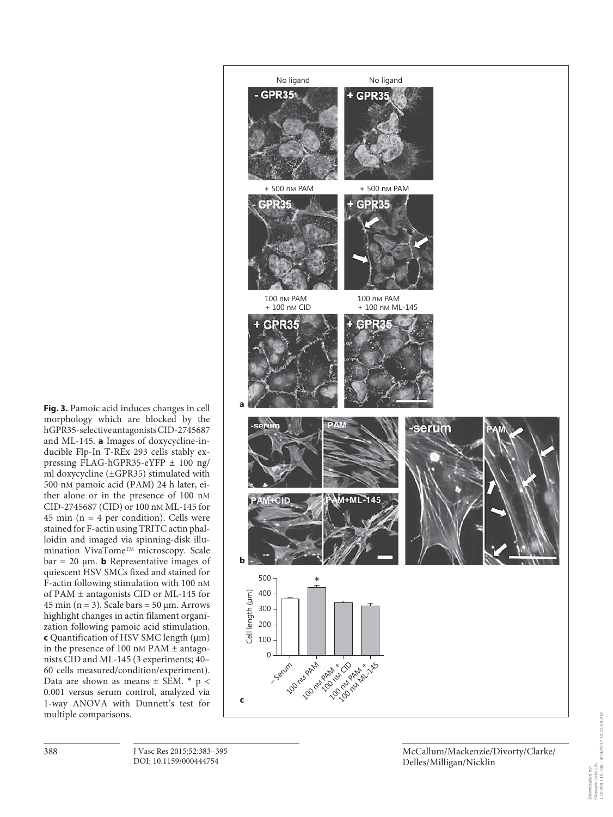No ligand No ligand **GPR35**  $+$  GPR35 + 500 nM PAM + 500 nM PAM GPR35  $+$  GPR35 100 nM PAM 100 nM PAM + 100 nM CID + 100 nM ML-145 e PRS **a** -Seru serum M+ML-145 **b** 500 \* Cell length (um) 400 Cell length ( 300 200 100  $\Omega$ **100 million** – Serum 100 nM AM X CD 100 nM PAM 145 **c**

**Fig. 3.** Pamoic acid induces changes in cell morphology which are blocked by the hGPR35-selective antagonists CID-2745687 and ML-145. **a** Images of doxycycline-inducible Flp-In T-REx 293 cells stably expressing FLAG-hGPR35-eYFP ± 100 ng/ ml doxycycline (±GPR35) stimulated with 500 nM pamoic acid (PAM) 24 h later, either alone or in the presence of 100 nM CID-2745687 (CID) or 100 nM ML-145 for 45 min ( $n = 4$  per condition). Cells were stained for F-actin using TRITC actin phalloidin and imaged via spinning-disk illumination VivaTome™ microscopy. Scale  $bar = 20 \mu m$ . **b** Representative images of quiescent HSV SMCs fixed and stained for F-actin following stimulation with 100 nM of PAM ± antagonists CID or ML-145 for  $45 \text{ min}$  (n = 3). Scale bars =  $50 \text{ µm}$ . Arrows highlight changes in actin filament organization following pamoic acid stimulation. **c** Quantification of HSV SMC length (μm) in the presence of 100 nM PAM  $\pm$  antagonists CID and ML-145 (3 experiments; 40– 60 cells measured/condition/experiment). Data are shown as means  $\pm$  SEM. \*  $p$  < 0.001 versus serum control, analyzed via 1-way ANOVA with Dunnett's test for multiple comparisons.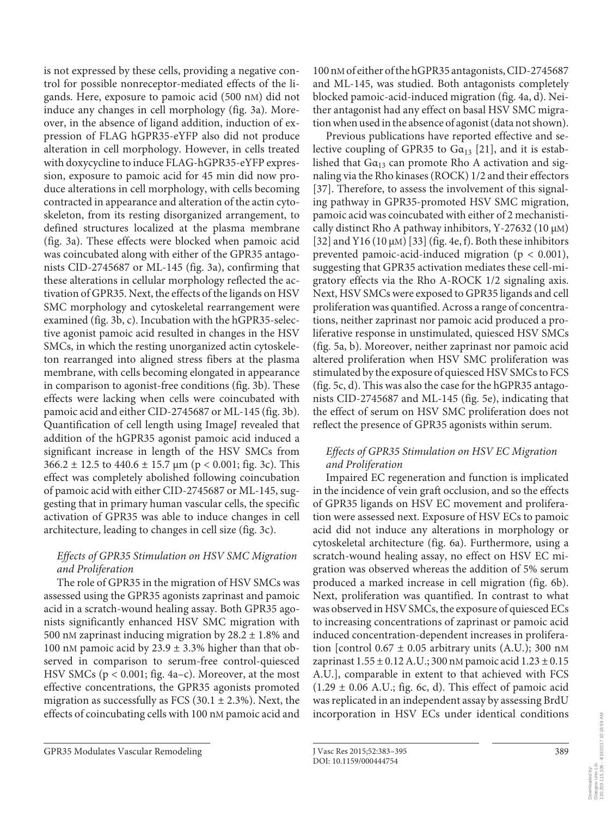is not expressed by these cells, providing a negative control for possible nonreceptor-mediated effects of the ligands. Here, exposure to pamoic acid (500 nM) did not induce any changes in cell morphology (fig. 3a). Moreover, in the absence of ligand addition, induction of expression of FLAG hGPR35-eYFP also did not produce alteration in cell morphology. However, in cells treated with doxycycline to induce FLAG-hGPR35-eYFP expression, exposure to pamoic acid for 45 min did now produce alterations in cell morphology, with cells becoming contracted in appearance and alteration of the actin cytoskeleton, from its resting disorganized arrangement, to defined structures localized at the plasma membrane (fig. 3a). These effects were blocked when pamoic acid was coincubated along with either of the GPR35 antagonists CID-2745687 or ML-145 (fig. 3a), confirming that these alterations in cellular morphology reflected the activation of GPR35. Next, the effects of the ligands on HSV SMC morphology and cytoskeletal rearrangement were examined (fig. 3b, c). Incubation with the hGPR35-selective agonist pamoic acid resulted in changes in the HSV SMCs, in which the resting unorganized actin cytoskeleton rearranged into aligned stress fibers at the plasma membrane, with cells becoming elongated in appearance in comparison to agonist-free conditions (fig. 3b). These effects were lacking when cells were coincubated with pamoic acid and either CID-2745687 or ML-145 (fig. 3b). Quantification of cell length using ImageJ revealed that addition of the hGPR35 agonist pamoic acid induced a significant increase in length of the HSV SMCs from  $366.2 \pm 12.5$  to  $440.6 \pm 15.7$   $\mu$ m (p < 0.001; fig. 3c). This effect was completely abolished following coincubation of pamoic acid with either CID-2745687 or ML-145, suggesting that in primary human vascular cells, the specific activation of GPR35 was able to induce changes in cell architecture, leading to changes in cell size (fig. 3c).

# *Effects of GPR35 Stimulation on HSV SMC Migration and Proliferation*

 The role of GPR35 in the migration of HSV SMCs was assessed using the GPR35 agonists zaprinast and pamoic acid in a scratch-wound healing assay. Both GPR35 agonists significantly enhanced HSV SMC migration with 500 nM zaprinast inducing migration by  $28.2 \pm 1.8\%$  and 100 nM pamoic acid by  $23.9 \pm 3.3\%$  higher than that observed in comparison to serum-free control-quiesced HSV SMCs ( $p < 0.001$ ; fig. 4a-c). Moreover, at the most effective concentrations, the GPR35 agonists promoted migration as successfully as FCS (30.1  $\pm$  2.3%). Next, the effects of coincubating cells with 100 nM pamoic acid and 100 nM of either of the hGPR35 antagonists, CID-2745687 and ML-145, was studied. Both antagonists completely blocked pamoic-acid-induced migration (fig. 4a, d). Neither antagonist had any effect on basal HSV SMC migration when used in the absence of agonist (data not shown).

 Previous publications have reported effective and selective coupling of GPR35 to  $Ga_{13}$  [21], and it is established that  $Ga_{13}$  can promote Rho A activation and signaling via the Rho kinases (ROCK) 1/2 and their effectors [37]. Therefore, to assess the involvement of this signaling pathway in GPR35-promoted HSV SMC migration, pamoic acid was coincubated with either of 2 mechanistically distinct Rho A pathway inhibitors, Y-27632 (10  $\mu$ M) [32] and Y16 (10  $\mu$ M) [33] (fig. 4e, f). Both these inhibitors prevented pamoic-acid-induced migration (p < 0.001), suggesting that GPR35 activation mediates these cell-migratory effects via the Rho A-ROCK 1/2 signaling axis. Next, HSV SMCs were exposed to GPR35 ligands and cell proliferation was quantified. Across a range of concentrations, neither zaprinast nor pamoic acid produced a proliferative response in unstimulated, quiesced HSV SMCs (fig. 5a, b). Moreover, neither zaprinast nor pamoic acid altered proliferation when HSV SMC proliferation was stimulated by the exposure of quiesced HSV SMCs to FCS (fig. 5 $c$ , d). This was also the case for the hGPR35 antagonists CID-2745687 and ML-145 (fig. 5e), indicating that the effect of serum on HSV SMC proliferation does not reflect the presence of GPR35 agonists within serum.

# *Effects of GPR35 Stimulation on HSV EC Migration and Proliferation*

 Impaired EC regeneration and function is implicated in the incidence of vein graft occlusion, and so the effects of GPR35 ligands on HSV EC movement and proliferation were assessed next. Exposure of HSV ECs to pamoic acid did not induce any alterations in morphology or cytoskeletal architecture (fig. 6a). Furthermore, using a scratch-wound healing assay, no effect on HSV EC migration was observed whereas the addition of 5% serum produced a marked increase in cell migration (fig. 6b). Next, proliferation was quantified. In contrast to what was observed in HSV SMCs, the exposure of quiesced ECs to increasing concentrations of zaprinast or pamoic acid induced concentration-dependent increases in proliferation [control  $0.67 \pm 0.05$  arbitrary units (A.U.); 300 nM zaprinast  $1.55 \pm 0.12$  A.U.; 300 nM pamoic acid  $1.23 \pm 0.15$ A.U.], comparable in extent to that achieved with FCS  $(1.29 \pm 0.06 \text{ A.U.};$  fig. 6c, d). This effect of pamoic acid was replicated in an independent assay by assessing BrdU incorporation in HSV ECs under identical conditions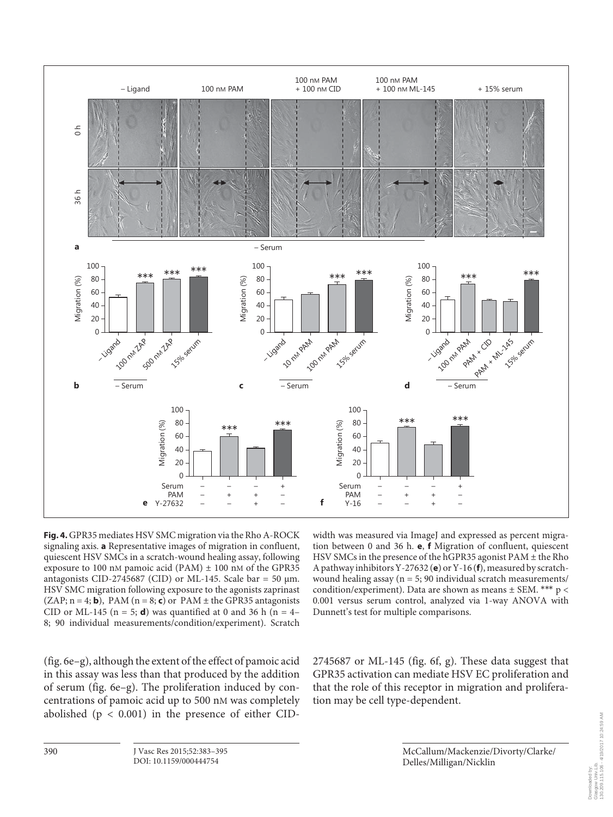

**Fig. 4.** GPR35 mediates HSV SMC migration via the Rho A-ROCK signaling axis. **a** Representative images of migration in confluent, quiescent HSV SMCs in a scratch-wound healing assay, following exposure to 100 nM pamoic acid (PAM)  $\pm$  100 nM of the GPR35 antagonists CID-2745687 (CID) or ML-145. Scale bar = 50  $\mu$ m. HSV SMC migration following exposure to the agonists zaprinast  $(ZAP; n = 4; b)$ , PAM  $(n = 8; c)$  or PAM  $\pm$  the GPR35 antagonists CID or ML-145 ( $n = 5$ ; **d**) was quantified at 0 and 36 h ( $n = 4$ – 8; 90 individual measurements/condition/experiment). Scratch

( $fig. 6e-g$ ), although the extent of the effect of pamoic acid in this assay was less than that produced by the addition of serum (fig. 6e–g). The proliferation induced by concentrations of pamoic acid up to 500 nM was completely abolished ( $p < 0.001$ ) in the presence of either CID-

width was measured via ImageJ and expressed as percent migration between 0 and 36 h. **e**, **f** Migration of confluent, quiescent HSV SMCs in the presence of the hGPR35 agonist PAM ± the Rho A pathway inhibitors Y-27632 (e) or Y-16 (f), measured by scratchwound healing assay (n = 5; 90 individual scratch measurements/ condition/experiment). Data are shown as means  $\pm$  SEM. \*\*\*  $p$  < 0.001 versus serum control, analyzed via 1-way ANOVA with Dunnett's test for multiple comparisons.

 $2745687$  or ML-145 (fig. 6f, g). These data suggest that GPR35 activation can mediate HSV EC proliferation and that the role of this receptor in migration and proliferation may be cell type-dependent.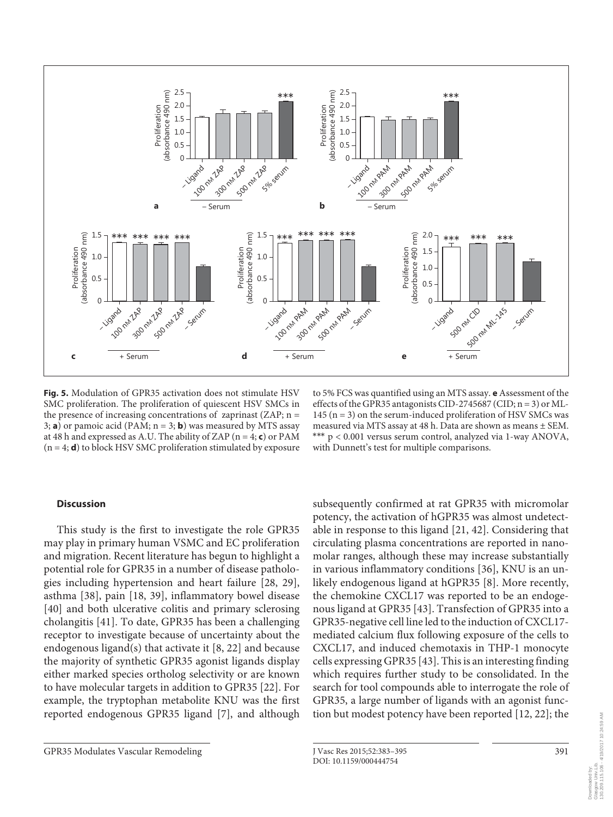

**Fig. 5.** Modulation of GPR35 activation does not stimulate HSV SMC proliferation. The proliferation of quiescent HSV SMCs in the presence of increasing concentrations of zaprinast (ZAP;  $n =$ 3; **a**) or pamoic acid (PAM;  $n = 3$ ; **b**) was measured by MTS assay at 48 h and expressed as A.U. The ability of ZAP ( $n = 4$ ; **c**) or PAM  $(n = 4; d)$  to block HSV SMC proliferation stimulated by exposure

to 5% FCS was quantified using an MTS assay. **e** Assessment of the effects of the GPR35 antagonists CID-2745687 (CID; n = 3) or ML-145 ( $n = 3$ ) on the serum-induced proliferation of HSV SMCs was measured via MTS assay at 48 h. Data are shown as means ± SEM. \*\*\* p < 0.001 versus serum control, analyzed via 1-way ANOVA, with Dunnett's test for multiple comparisons.

## **Discussion**

 This study is the first to investigate the role GPR35 may play in primary human VSMC and EC proliferation and migration. Recent literature has begun to highlight a potential role for GPR35 in a number of disease pathologies including hypertension and heart failure [28, 29], asthma [38], pain [18, 39], inflammatory bowel disease [40] and both ulcerative colitis and primary sclerosing cholangitis [41] . To date, GPR35 has been a challenging receptor to investigate because of uncertainty about the endogenous ligand(s) that activate it [8, 22] and because the majority of synthetic GPR35 agonist ligands display either marked species ortholog selectivity or are known to have molecular targets in addition to GPR35 [22] . For example, the tryptophan metabolite KNU was the first reported endogenous GPR35 ligand [7], and although

subsequently confirmed at rat GPR35 with micromolar potency, the activation of hGPR35 was almost undetectable in response to this ligand [21, 42] . Considering that circulating plasma concentrations are reported in nanomolar ranges, although these may increase substantially in various inflammatory conditions [36], KNU is an unlikely endogenous ligand at hGPR35 [8]. More recently, the chemokine CXCL17 was reported to be an endogenous ligand at GPR35 [43] . Transfection of GPR35 into a GPR35-negative cell line led to the induction of CXCL17 mediated calcium flux following exposure of the cells to CXCL17, and induced chemotaxis in THP-1 monocyte cells expressing GPR35 [43] . This is an interesting finding which requires further study to be consolidated. In the search for tool compounds able to interrogate the role of GPR35, a large number of ligands with an agonist function but modest potency have been reported [12, 22] ; the

391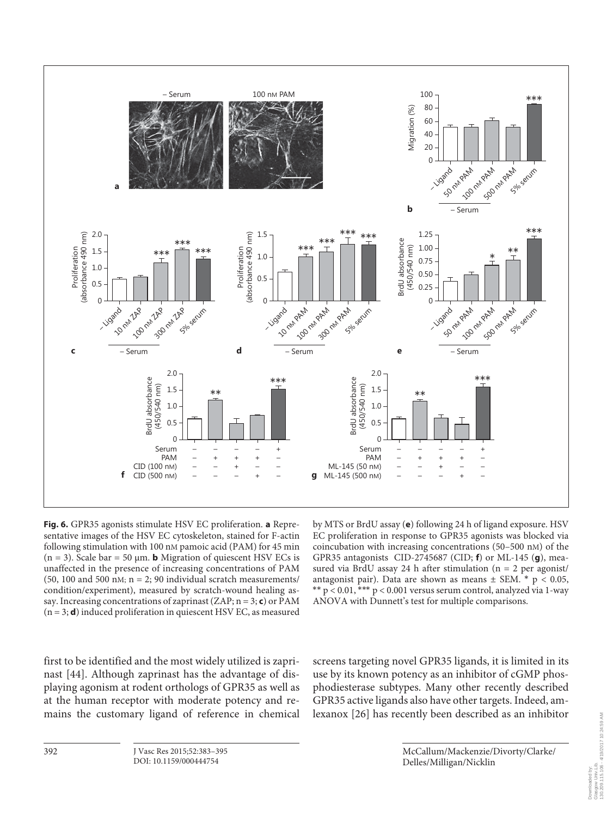

**Fig. 6.** GPR35 agonists stimulate HSV EC proliferation. **a** Representative images of the HSV EC cytoskeleton, stained for F-actin following stimulation with 100 nM pamoic acid (PAM) for 45 min  $(n = 3)$ . Scale bar = 50  $\mu$ m. **b** Migration of quiescent HSV ECs is unaffected in the presence of increasing concentrations of PAM (50, 100 and 500 nM;  $n = 2$ ; 90 individual scratch measurements/ condition/experiment), measured by scratch-wound healing assay. Increasing concentrations of zaprinast  $(ZAP; n = 3; c)$  or PAM  $(n = 3; d)$  induced proliferation in quiescent HSV EC, as measured

by MTS or BrdU assay (e) following 24 h of ligand exposure. HSV EC proliferation in response to GPR35 agonists was blocked via coincubation with increasing concentrations (50–500 nM) of the GPR35 antagonists CID-2745687 (CID; **f**) or ML-145 (**g**), measured via BrdU assay 24 h after stimulation ( $n = 2$  per agonist/ antagonist pair). Data are shown as means  $\pm$  SEM. \*  $p < 0.05$ , \*\*  $p < 0.01$ , \*\*\*  $p < 0.001$  versus serum control, analyzed via 1-way ANOVA with Dunnett's test for multiple comparisons.

first to be identified and the most widely utilized is zaprinast [44]. Although zaprinast has the advantage of displaying agonism at rodent orthologs of GPR35 as well as at the human receptor with moderate potency and remains the customary ligand of reference in chemical screens targeting novel GPR35 ligands, it is limited in its use by its known potency as an inhibitor of cGMP phosphodiesterase subtypes. Many other recently described GPR35 active ligands also have other targets. Indeed, amlexanox [26] has recently been described as an inhibitor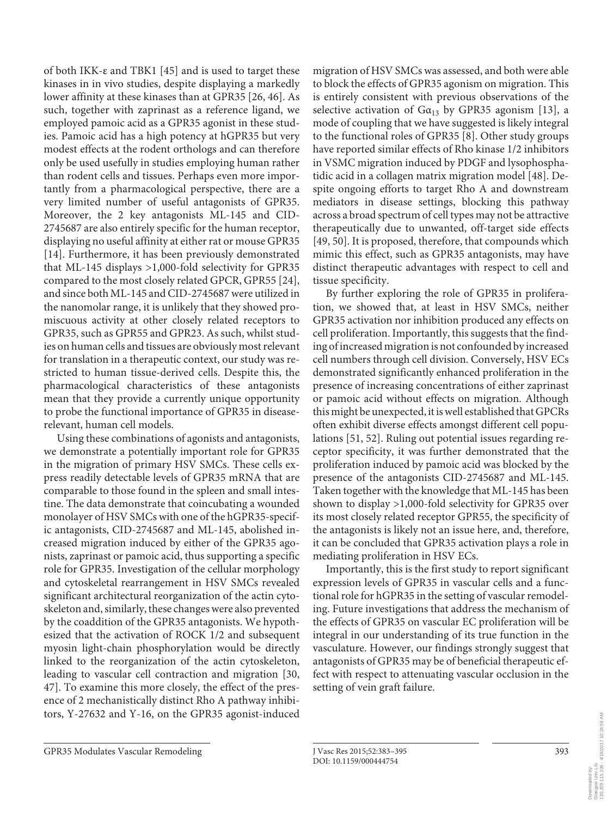of both IKK-ε and TBK1 [45] and is used to target these kinases in in vivo studies, despite displaying a markedly lower affinity at these kinases than at GPR35 [26, 46]. As such, together with zaprinast as a reference ligand, we employed pamoic acid as a GPR35 agonist in these studies. Pamoic acid has a high potency at hGPR35 but very modest effects at the rodent orthologs and can therefore only be used usefully in studies employing human rather than rodent cells and tissues. Perhaps even more importantly from a pharmacological perspective, there are a very limited number of useful antagonists of GPR35. Moreover, the 2 key antagonists ML-145 and CID-2745687 are also entirely specific for the human receptor, displaying no useful affinity at either rat or mouse GPR35 [14]. Furthermore, it has been previously demonstrated that ML-145 displays >1,000-fold selectivity for GPR35 compared to the most closely related GPCR, GPR55 [24], and since both ML-145 and CID-2745687 were utilized in the nanomolar range, it is unlikely that they showed promiscuous activity at other closely related receptors to GPR35, such as GPR55 and GPR23. As such, whilst studies on human cells and tissues are obviously most relevant for translation in a therapeutic context, our study was restricted to human tissue-derived cells. Despite this, the pharmacological characteristics of these antagonists mean that they provide a currently unique opportunity to probe the functional importance of GPR35 in diseaserelevant, human cell models.

 Using these combinations of agonists and antagonists, we demonstrate a potentially important role for GPR35 in the migration of primary HSV SMCs. These cells express readily detectable levels of GPR35 mRNA that are comparable to those found in the spleen and small intestine. The data demonstrate that coincubating a wounded monolayer of HSV SMCs with one of the hGPR35-specific antagonists, CID-2745687 and ML-145, abolished increased migration induced by either of the GPR35 agonists, zaprinast or pamoic acid, thus supporting a specific role for GPR35. Investigation of the cellular morphology and cytoskeletal rearrangement in HSV SMCs revealed significant architectural reorganization of the actin cytoskeleton and, similarly, these changes were also prevented by the coaddition of the GPR35 antagonists. We hypothesized that the activation of ROCK 1/2 and subsequent myosin light-chain phosphorylation would be directly linked to the reorganization of the actin cytoskeleton, leading to vascular cell contraction and migration [30, 47] . To examine this more closely, the effect of the presence of 2 mechanistically distinct Rho A pathway inhibitors, Y-27632 and Y-16, on the GPR35 agonist-induced

migration of HSV SMCs was assessed, and both were able to block the effects of GPR35 agonism on migration. This is entirely consistent with previous observations of the selective activation of  $Ga_{13}$  by GPR35 agonism [13], a mode of coupling that we have suggested is likely integral to the functional roles of GPR35 [8] . Other study groups have reported similar effects of Rho kinase 1/2 inhibitors in VSMC migration induced by PDGF and lysophosphatidic acid in a collagen matrix migration model [48]. Despite ongoing efforts to target Rho A and downstream mediators in disease settings, blocking this pathway across a broad spectrum of cell types may not be attractive therapeutically due to unwanted, off-target side effects [49, 50]. It is proposed, therefore, that compounds which mimic this effect, such as GPR35 antagonists, may have distinct therapeutic advantages with respect to cell and tissue specificity.

 By further exploring the role of GPR35 in proliferation, we showed that, at least in HSV SMCs, neither GPR35 activation nor inhibition produced any effects on cell proliferation. Importantly, this suggests that the finding of increased migration is not confounded by increased cell numbers through cell division. Conversely, HSV ECs demonstrated significantly enhanced proliferation in the presence of increasing concentrations of either zaprinast or pamoic acid without effects on migration. Although this might be unexpected, it is well established that GPCRs often exhibit diverse effects amongst different cell populations [51, 52]. Ruling out potential issues regarding receptor specificity, it was further demonstrated that the proliferation induced by pamoic acid was blocked by the presence of the antagonists CID-2745687 and ML-145. Taken together with the knowledge that ML-145 has been shown to display >1,000-fold selectivity for GPR35 over its most closely related receptor GPR55, the specificity of the antagonists is likely not an issue here, and, therefore, it can be concluded that GPR35 activation plays a role in mediating proliferation in HSV ECs.

 Importantly, this is the first study to report significant expression levels of GPR35 in vascular cells and a functional role for hGPR35 in the setting of vascular remodeling. Future investigations that address the mechanism of the effects of GPR35 on vascular EC proliferation will be integral in our understanding of its true function in the vasculature. However, our findings strongly suggest that antagonists of GPR35 may be of beneficial therapeutic effect with respect to attenuating vascular occlusion in the setting of vein graft failure.

GPR35 Modulates Vascular Remodeling J Vasc Res 2015;52:383-395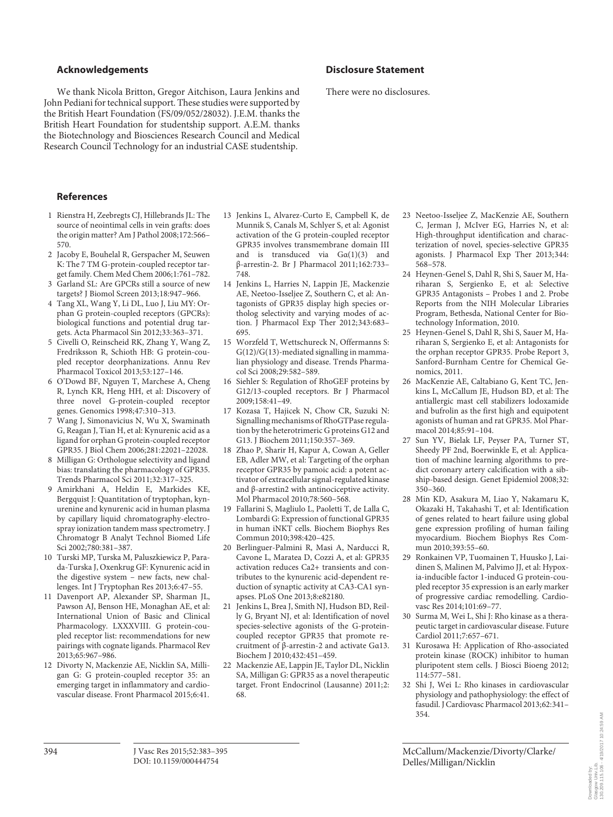#### **Acknowledgements**

 We thank Nicola Britton, Gregor Aitchison, Laura Jenkins and John Pediani for technical support. These studies were supported by the British Heart Foundation (FS/09/052/28032). J.E.M. thanks the British Heart Foundation for studentship support. A.E.M. thanks the Biotechnology and Biosciences Research Council and Medical Research Council Technology for an industrial CASE studentship.

#### **References**

- 1 Rienstra H, Zeebregts CJ, Hillebrands JL: The source of neointimal cells in vein grafts: does the origin matter? Am J Pathol 2008;172:566– 570.
- 2 Jacoby E, Bouhelal R, Gerspacher M, Seuwen K: The 7 TM G-protein-coupled receptor target family. Chem Med Chem 2006;1:761–782.
- 3 Garland SL: Are GPCRs still a source of new targets? J Biomol Screen 2013;18:947–966.
- 4 Tang XL, Wang Y, Li DL, Luo J, Liu MY: Orphan G protein-coupled receptors (GPCRs): biological functions and potential drug targets. Acta Pharmacol Sin 2012;33:363–371.
- 5 Civelli O, Reinscheid RK, Zhang Y, Wang Z, Fredriksson R, Schioth HB: G protein-coupled receptor deorphanizations. Annu Rev Pharmacol Toxicol 2013;53:127–146.
- 6 O'Dowd BF, Nguyen T, Marchese A, Cheng R, Lynch KR, Heng HH, et al: Discovery of three novel G-protein-coupled receptor genes. Genomics 1998;47:310–313.
- 7 Wang J, Simonavicius N, Wu X, Swaminath G, Reagan J, Tian H, et al: Kynurenic acid as a ligand for orphan G protein-coupled receptor GPR35. J Biol Chem 2006;281:22021–22028.
- 8 Milligan G: Orthologue selectivity and ligand bias: translating the pharmacology of GPR35. Trends Pharmacol Sci 2011;32:317–325.
- 9 Amirkhani A, Heldin E, Markides KE, Bergquist J: Quantitation of tryptophan, kynurenine and kynurenic acid in human plasma by capillary liquid chromatography-electrospray ionization tandem mass spectrometry. J Chromatogr B Analyt Technol Biomed Life Sci 2002;780:381–387.
- 10 Turski MP, Turska M, Paluszkiewicz P, Parada-Turska J, Oxenkrug GF: Kynurenic acid in the digestive system – new facts, new challenges. Int J Tryptophan Res 2013;6:47–55.
- 11 Davenport AP, Alexander SP, Sharman JL, Pawson AJ, Benson HE, Monaghan AE, et al: International Union of Basic and Clinical Pharmacology. LXXXVIII. G protein-coupled receptor list: recommendations for new pairings with cognate ligands. Pharmacol Rev 2013;65:967–986.
- 12 Divorty N, Mackenzie AE, Nicklin SA, Milligan G: G protein-coupled receptor 35: an emerging target in inflammatory and cardiovascular disease. Front Pharmacol 2015;6:41.
- 13 Jenkins L, Alvarez-Curto E, Campbell K, de Munnik S, Canals M, Schlyer S, et al: Agonist activation of the G protein-coupled receptor GPR35 involves transmembrane domain III and is transduced via  $Ga(1)(3)$  and β-arrestin-2. Br J Pharmacol 2011;162:733– 748.
- 14 Jenkins L, Harries N, Lappin JE, Mackenzie AE, Neetoo-Isseljee Z, Southern C, et al: Antagonists of GPR35 display high species ortholog selectivity and varying modes of action. J Pharmacol Exp Ther 2012;343:683– 695.
- 15 Worzfeld T, Wettschureck N, Offermanns S: G(12)/G(13)-mediated signalling in mammalian physiology and disease. Trends Pharmacol Sci 2008;29:582–589.
- 16 Siehler S: Regulation of RhoGEF proteins by G12/13-coupled receptors. Br J Pharmacol 2009;158:41–49.
- 17 Kozasa T, Hajicek N, Chow CR, Suzuki N: Signalling mechanisms of RhoGTPase regulation by the heterotrimeric G proteins G12 and G13. J Biochem 2011;150:357–369.
- 18 Zhao P, Sharir H, Kapur A, Cowan A, Geller EB, Adler MW, et al: Targeting of the orphan receptor GPR35 by pamoic acid: a potent activator of extracellular signal-regulated kinase and β-arrestin2 with antinociceptive activity. Mol Pharmacol 2010;78:560–568.
- 19 Fallarini S, Magliulo L, Paoletti T, de Lalla C, Lombardi G: Expression of functional GPR35 in human iNKT cells. Biochem Biophys Res Commun 2010;398:420–425.
- 20 Berlinguer-Palmini R, Masi A, Narducci R, Cavone L, Maratea D, Cozzi A, et al: GPR35 activation reduces Ca2+ transients and contributes to the kynurenic acid-dependent reduction of synaptic activity at CA3-CA1 synapses. PLoS One 2013;8:e82180.
- 21 Jenkins L, Brea J, Smith NJ, Hudson BD, Reilly G, Bryant NJ, et al: Identification of novel species-selective agonists of the G-proteincoupled receptor GPR35 that promote recruitment of β-arrestin-2 and activate Gα13. Biochem J 2010;432:451–459.
- 22 Mackenzie AE, Lappin JE, Taylor DL, Nicklin SA, Milligan G: GPR35 as a novel therapeutic target. Front Endocrinol (Lausanne) 2011;2: 68.

#### **Disclosure Statement**

There were no disclosures.

- 23 Neetoo-Isseljee Z, MacKenzie AE, Southern C, Jerman J, McIver EG, Harries N, et al: High-throughput identification and characterization of novel, species-selective GPR35 agonists. J Pharmacol Exp Ther 2013;344: 568–578.
- 24 Heynen-Genel S, Dahl R, Shi S, Sauer M, Hariharan S, Sergienko E, et al: Selective GPR35 Antagonists – Probes 1 and 2. Probe Reports from the NIH Molecular Libraries Program, Bethesda, National Center for Biotechnology Information, 2010.
- 25 Heynen-Genel S, Dahl R, Shi S, Sauer M, Hariharan S, Sergienko E, et al: Antagonists for the orphan receptor GPR35. Probe Report 3, Sanford-Burnham Centre for Chemical Genomics, 2011.
- 26 MacKenzie AE, Caltabiano G, Kent TC, Jenkins L, McCallum JE, Hudson BD, et al: The antiallergic mast cell stabilizers lodoxamide and bufrolin as the first high and equipotent agonists of human and rat GPR35. Mol Pharmacol 2014;85:91–104.
- 27 Sun YV, Bielak LF, Peyser PA, Turner ST, Sheedy PF 2nd, Boerwinkle E, et al: Application of machine learning algorithms to predict coronary artery calcification with a sibship-based design. Genet Epidemiol 2008;32: 350–360.
- 28 Min KD, Asakura M, Liao Y, Nakamaru K, Okazaki H, Takahashi T, et al: Identification of genes related to heart failure using global gene expression profiling of human failing myocardium. Biochem Biophys Res Commun 2010;393:55–60.
- 29 Ronkainen VP, Tuomainen T, Huusko J, Laidinen S, Malinen M, Palvimo JJ, et al: Hypoxia-inducible factor 1-induced G protein-coupled receptor 35 expression is an early marker of progressive cardiac remodelling. Cardiovasc Res 2014;101:69-77.
- 30 Surma M, Wei L, Shi J: Rho kinase as a therapeutic target in cardiovascular disease. Future Cardiol 2011;7:657–671.
- 31 Kurosawa H: Application of Rho-associated protein kinase (ROCK) inhibitor to human pluripotent stem cells. J Biosci Bioeng 2012; 114:577–581.
- 32 Shi J, Wei L: Rho kinases in cardiovascular physiology and pathophysiology: the effect of fasudil. J Cardiovasc Pharmacol 2013;62:341– 354.